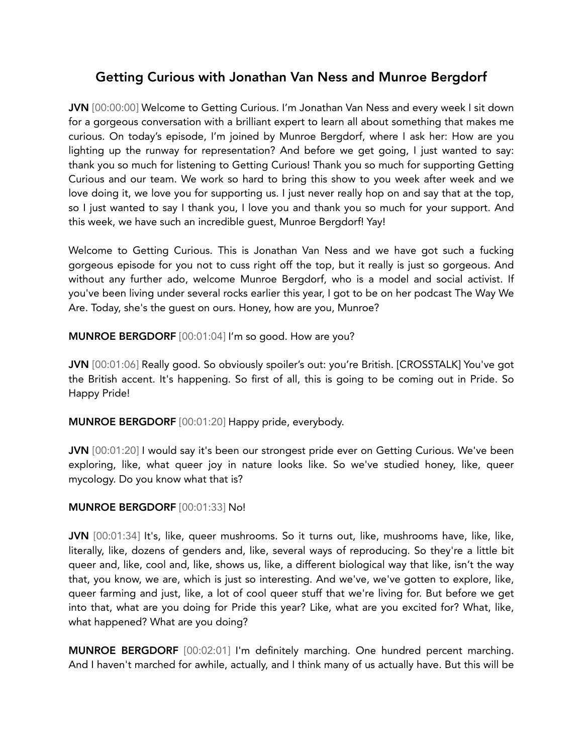# Getting Curious with Jonathan Van Ness and Munroe Bergdorf

JVN [00:00:00] Welcome to Getting Curious. I'm Jonathan Van Ness and every week I sit down for a gorgeous conversation with a brilliant expert to learn all about something that makes me curious. On today's episode, I'm joined by Munroe Bergdorf, where I ask her: How are you lighting up the runway for representation? And before we get going, I just wanted to say: thank you so much for listening to Getting Curious! Thank you so much for supporting Getting Curious and our team. We work so hard to bring this show to you week after week and we love doing it, we love you for supporting us. I just never really hop on and say that at the top, so I just wanted to say I thank you, I love you and thank you so much for your support. And this week, we have such an incredible guest, Munroe Bergdorf! Yay!

Welcome to Getting Curious. This is Jonathan Van Ness and we have got such a fucking gorgeous episode for you not to cuss right off the top, but it really is just so gorgeous. And without any further ado, welcome Munroe Bergdorf, who is a model and social activist. If you've been living under several rocks earlier this year, I got to be on her podcast The Way We Are. Today, she's the guest on ours. Honey, how are you, Munroe?

MUNROE BERGDORF [00:01:04] I'm so good. How are you?

JVN [00:01:06] Really good. So obviously spoiler's out: you're British. [CROSSTALK] You've got the British accent. It's happening. So first of all, this is going to be coming out in Pride. So Happy Pride!

MUNROE BERGDORF [00:01:20] Happy pride, everybody.

JVN [00:01:20] I would say it's been our strongest pride ever on Getting Curious. We've been exploring, like, what queer joy in nature looks like. So we've studied honey, like, queer mycology. Do you know what that is?

## MUNROE BERGDORF [00:01:33] No!

JVN [00:01:34] It's, like, queer mushrooms. So it turns out, like, mushrooms have, like, like, literally, like, dozens of genders and, like, several ways of reproducing. So they're a little bit queer and, like, cool and, like, shows us, like, a different biological way that like, isn't the way that, you know, we are, which is just so interesting. And we've, we've gotten to explore, like, queer farming and just, like, a lot of cool queer stuff that we're living for. But before we get into that, what are you doing for Pride this year? Like, what are you excited for? What, like, what happened? What are you doing?

MUNROE BERGDORF [00:02:01] I'm definitely marching. One hundred percent marching. And I haven't marched for awhile, actually, and I think many of us actually have. But this will be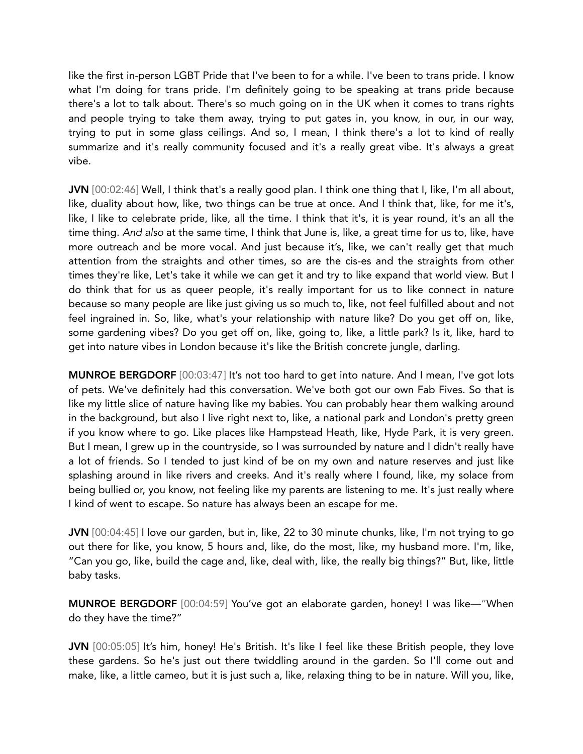like the first in-person LGBT Pride that I've been to for a while. I've been to trans pride. I know what I'm doing for trans pride. I'm definitely going to be speaking at trans pride because there's a lot to talk about. There's so much going on in the UK when it comes to trans rights and people trying to take them away, trying to put gates in, you know, in our, in our way, trying to put in some glass ceilings. And so, I mean, I think there's a lot to kind of really summarize and it's really community focused and it's a really great vibe. It's always a great vibe.

JVN [00:02:46] Well, I think that's a really good plan. I think one thing that I, like, I'm all about, like, duality about how, like, two things can be true at once. And I think that, like, for me it's, like, I like to celebrate pride, like, all the time. I think that it's, it is year round, it's an all the time thing. *And also* at the same time, I think that June is, like, a great time for us to, like, have more outreach and be more vocal. And just because it's, like, we can't really get that much attention from the straights and other times, so are the cis-es and the straights from other times they're like, Let's take it while we can get it and try to like expand that world view. But I do think that for us as queer people, it's really important for us to like connect in nature because so many people are like just giving us so much to, like, not feel fulfilled about and not feel ingrained in. So, like, what's your relationship with nature like? Do you get off on, like, some gardening vibes? Do you get off on, like, going to, like, a little park? Is it, like, hard to get into nature vibes in London because it's like the British concrete jungle, darling.

MUNROE BERGDORF [00:03:47] It's not too hard to get into nature. And I mean, I've got lots of pets. We've definitely had this conversation. We've both got our own Fab Fives. So that is like my little slice of nature having like my babies. You can probably hear them walking around in the background, but also I live right next to, like, a national park and London's pretty green if you know where to go. Like places like Hampstead Heath, like, Hyde Park, it is very green. But I mean, I grew up in the countryside, so I was surrounded by nature and I didn't really have a lot of friends. So I tended to just kind of be on my own and nature reserves and just like splashing around in like rivers and creeks. And it's really where I found, like, my solace from being bullied or, you know, not feeling like my parents are listening to me. It's just really where I kind of went to escape. So nature has always been an escape for me.

JVN [00:04:45] I love our garden, but in, like, 22 to 30 minute chunks, like, I'm not trying to go out there for like, you know, 5 hours and, like, do the most, like, my husband more. I'm, like, "Can you go, like, build the cage and, like, deal with, like, the really big things?" But, like, little baby tasks.

MUNROE BERGDORF [00:04:59] You've got an elaborate garden, honey! I was like—"When do they have the time?"

JVN [00:05:05] It's him, honey! He's British. It's like I feel like these British people, they love these gardens. So he's just out there twiddling around in the garden. So I'll come out and make, like, a little cameo, but it is just such a, like, relaxing thing to be in nature. Will you, like,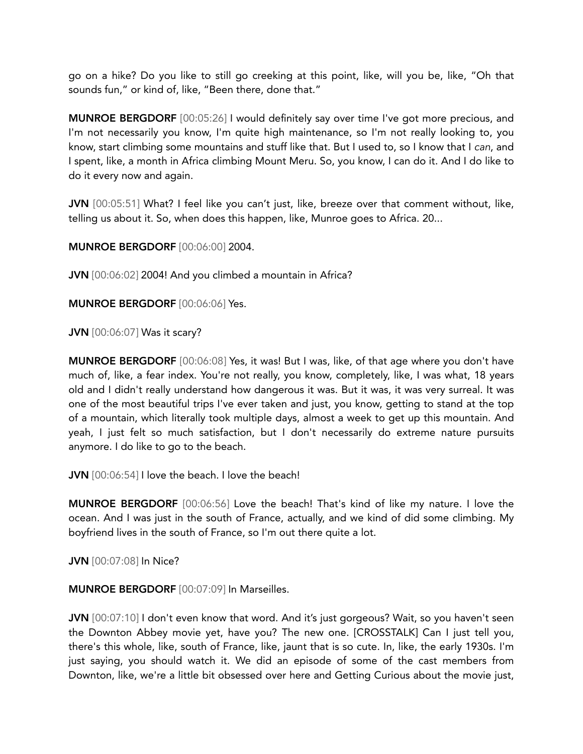go on a hike? Do you like to still go creeking at this point, like, will you be, like, "Oh that sounds fun," or kind of, like, "Been there, done that."

MUNROE BERGDORF [00:05:26] I would definitely say over time I've got more precious, and I'm not necessarily you know, I'm quite high maintenance, so I'm not really looking to, you know, start climbing some mountains and stuff like that. But I used to, so I know that I *can*, and I spent, like, a month in Africa climbing Mount Meru. So, you know, I can do it. And I do like to do it every now and again.

JVN [00:05:51] What? I feel like you can't just, like, breeze over that comment without, like, telling us about it. So, when does this happen, like, Munroe goes to Africa. 20...

MUNROE BERGDORF [00:06:00] 2004.

JVN [00:06:02] 2004! And you climbed a mountain in Africa?

MUNROE BERGDORF [00:06:06] Yes.

JVN [00:06:07] Was it scary?

MUNROE BERGDORF [00:06:08] Yes, it was! But I was, like, of that age where you don't have much of, like, a fear index. You're not really, you know, completely, like, I was what, 18 years old and I didn't really understand how dangerous it was. But it was, it was very surreal. It was one of the most beautiful trips I've ever taken and just, you know, getting to stand at the top of a mountain, which literally took multiple days, almost a week to get up this mountain. And yeah, I just felt so much satisfaction, but I don't necessarily do extreme nature pursuits anymore. I do like to go to the beach.

JVN [00:06:54] I love the beach. I love the beach!

MUNROE BERGDORF [00:06:56] Love the beach! That's kind of like my nature. I love the ocean. And I was just in the south of France, actually, and we kind of did some climbing. My boyfriend lives in the south of France, so I'm out there quite a lot.

JVN [00:07:08] In Nice?

MUNROE BERGDORF [00:07:09] In Marseilles.

JVN  $[00:07:10]$  I don't even know that word. And it's just gorgeous? Wait, so you haven't seen the Downton Abbey movie yet, have you? The new one. [CROSSTALK] Can I just tell you, there's this whole, like, south of France, like, jaunt that is so cute. In, like, the early 1930s. I'm just saying, you should watch it. We did an episode of some of the cast members from Downton, like, we're a little bit obsessed over here and Getting Curious about the movie just,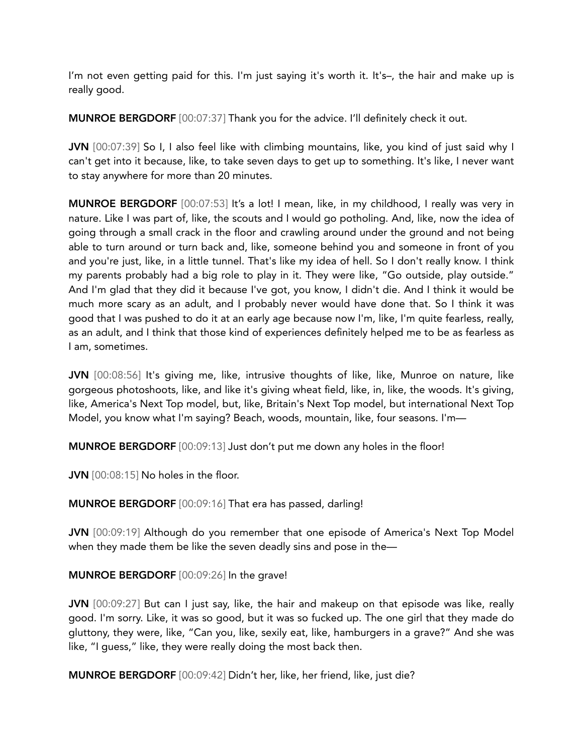I'm not even getting paid for this. I'm just saying it's worth it. It's–, the hair and make up is really good.

MUNROE BERGDORF [00:07:37] Thank you for the advice. I'll definitely check it out.

JVN [00:07:39] So I, I also feel like with climbing mountains, like, you kind of just said why I can't get into it because, like, to take seven days to get up to something. It's like, I never want to stay anywhere for more than 20 minutes.

MUNROE BERGDORF [00:07:53] It's a lot! I mean, like, in my childhood, I really was very in nature. Like I was part of, like, the scouts and I would go potholing. And, like, now the idea of going through a small crack in the floor and crawling around under the ground and not being able to turn around or turn back and, like, someone behind you and someone in front of you and you're just, like, in a little tunnel. That's like my idea of hell. So I don't really know. I think my parents probably had a big role to play in it. They were like, "Go outside, play outside." And I'm glad that they did it because I've got, you know, I didn't die. And I think it would be much more scary as an adult, and I probably never would have done that. So I think it was good that I was pushed to do it at an early age because now I'm, like, I'm quite fearless, really, as an adult, and I think that those kind of experiences definitely helped me to be as fearless as I am, sometimes.

JVN [00:08:56] It's giving me, like, intrusive thoughts of like, like, Munroe on nature, like gorgeous photoshoots, like, and like it's giving wheat field, like, in, like, the woods. It's giving, like, America's Next Top model, but, like, Britain's Next Top model, but international Next Top Model, you know what I'm saying? Beach, woods, mountain, like, four seasons. I'm—

MUNROE BERGDORF [00:09:13] Just don't put me down any holes in the floor!

JVN [00:08:15] No holes in the floor.

MUNROE BERGDORF [00:09:16] That era has passed, darling!

JVN [00:09:19] Although do you remember that one episode of America's Next Top Model when they made them be like the seven deadly sins and pose in the—

## MUNROE BERGDORF [00:09:26] In the grave!

JVN [00:09:27] But can I just say, like, the hair and makeup on that episode was like, really good. I'm sorry. Like, it was so good, but it was so fucked up. The one girl that they made do gluttony, they were, like, "Can you, like, sexily eat, like, hamburgers in a grave?" And she was like, "I guess," like, they were really doing the most back then.

MUNROE BERGDORF [00:09:42] Didn't her, like, her friend, like, just die?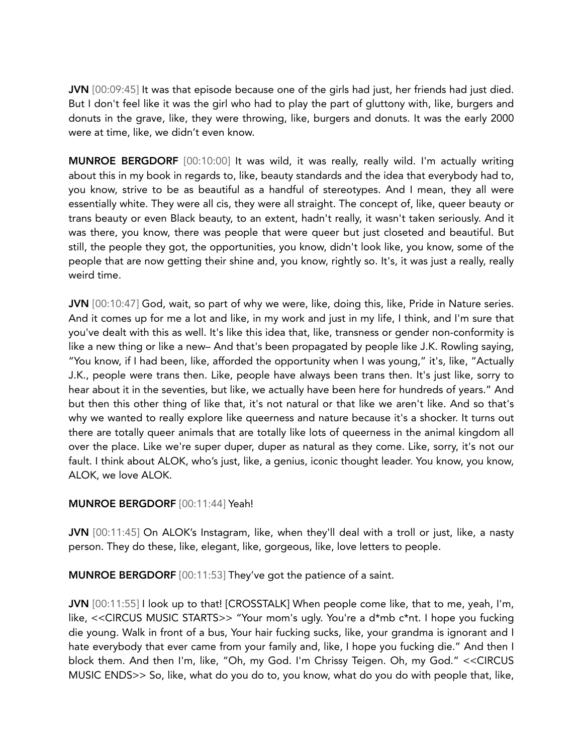JVN [00:09:45] It was that episode because one of the girls had just, her friends had just died. But I don't feel like it was the girl who had to play the part of gluttony with, like, burgers and donuts in the grave, like, they were throwing, like, burgers and donuts. It was the early 2000 were at time, like, we didn't even know.

MUNROE BERGDORF [00:10:00] It was wild, it was really, really wild. I'm actually writing about this in my book in regards to, like, beauty standards and the idea that everybody had to, you know, strive to be as beautiful as a handful of stereotypes. And I mean, they all were essentially white. They were all cis, they were all straight. The concept of, like, queer beauty or trans beauty or even Black beauty, to an extent, hadn't really, it wasn't taken seriously. And it was there, you know, there was people that were queer but just closeted and beautiful. But still, the people they got, the opportunities, you know, didn't look like, you know, some of the people that are now getting their shine and, you know, rightly so. It's, it was just a really, really weird time.

JVN [00:10:47] God, wait, so part of why we were, like, doing this, like, Pride in Nature series. And it comes up for me a lot and like, in my work and just in my life, I think, and I'm sure that you've dealt with this as well. It's like this idea that, like, transness or gender non-conformity is like a new thing or like a new– And that's been propagated by people like J.K. Rowling saying, "You know, if I had been, like, afforded the opportunity when I was young," it's, like, "Actually J.K., people were trans then. Like, people have always been trans then. It's just like, sorry to hear about it in the seventies, but like, we actually have been here for hundreds of years." And but then this other thing of like that, it's not natural or that like we aren't like. And so that's why we wanted to really explore like queerness and nature because it's a shocker. It turns out there are totally queer animals that are totally like lots of queerness in the animal kingdom all over the place. Like we're super duper, duper as natural as they come. Like, sorry, it's not our fault. I think about ALOK, who's just, like, a genius, iconic thought leader. You know, you know, ALOK, we love ALOK.

## MUNROE BERGDORF [00:11:44] Yeah!

JVN [00:11:45] On ALOK's Instagram, like, when they'll deal with a troll or just, like, a nasty person. They do these, like, elegant, like, gorgeous, like, love letters to people.

MUNROE BERGDORF [00:11:53] They've got the patience of a saint.

JVN [00:11:55] I look up to that! [CROSSTALK] When people come like, that to me, yeah, I'm, like, <<CIRCUS MUSIC STARTS>> "Your mom's ugly. You're a d\*mb c\*nt. I hope you fucking die young. Walk in front of a bus, Your hair fucking sucks, like, your grandma is ignorant and I hate everybody that ever came from your family and, like, I hope you fucking die." And then I block them. And then I'm, like, "Oh, my God. I'm Chrissy Teigen. Oh, my God." <<CIRCUS MUSIC ENDS>> So, like, what do you do to, you know, what do you do with people that, like,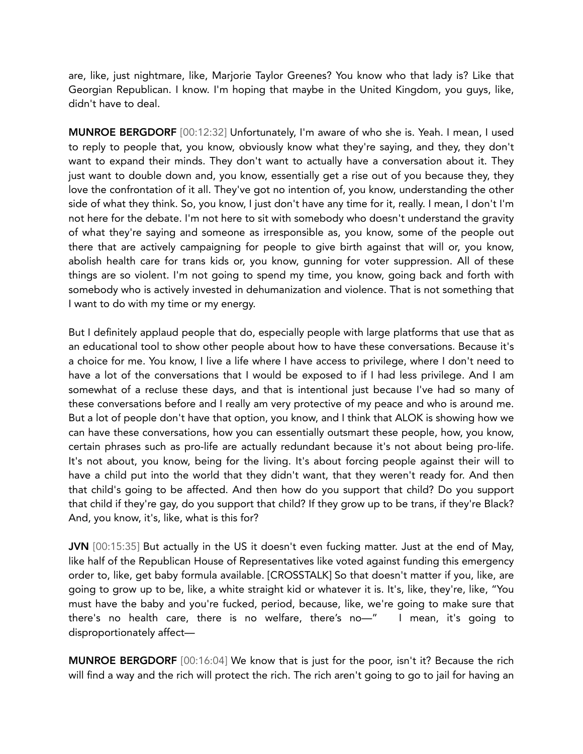are, like, just nightmare, like, Marjorie Taylor Greenes? You know who that lady is? Like that Georgian Republican. I know. I'm hoping that maybe in the United Kingdom, you guys, like, didn't have to deal.

MUNROE BERGDORF [00:12:32] Unfortunately, I'm aware of who she is. Yeah. I mean, I used to reply to people that, you know, obviously know what they're saying, and they, they don't want to expand their minds. They don't want to actually have a conversation about it. They just want to double down and, you know, essentially get a rise out of you because they, they love the confrontation of it all. They've got no intention of, you know, understanding the other side of what they think. So, you know, I just don't have any time for it, really. I mean, I don't I'm not here for the debate. I'm not here to sit with somebody who doesn't understand the gravity of what they're saying and someone as irresponsible as, you know, some of the people out there that are actively campaigning for people to give birth against that will or, you know, abolish health care for trans kids or, you know, gunning for voter suppression. All of these things are so violent. I'm not going to spend my time, you know, going back and forth with somebody who is actively invested in dehumanization and violence. That is not something that I want to do with my time or my energy.

But I definitely applaud people that do, especially people with large platforms that use that as an educational tool to show other people about how to have these conversations. Because it's a choice for me. You know, I live a life where I have access to privilege, where I don't need to have a lot of the conversations that I would be exposed to if I had less privilege. And I am somewhat of a recluse these days, and that is intentional just because I've had so many of these conversations before and I really am very protective of my peace and who is around me. But a lot of people don't have that option, you know, and I think that ALOK is showing how we can have these conversations, how you can essentially outsmart these people, how, you know, certain phrases such as pro-life are actually redundant because it's not about being pro-life. It's not about, you know, being for the living. It's about forcing people against their will to have a child put into the world that they didn't want, that they weren't ready for. And then that child's going to be affected. And then how do you support that child? Do you support that child if they're gay, do you support that child? If they grow up to be trans, if they're Black? And, you know, it's, like, what is this for?

JVN [00:15:35] But actually in the US it doesn't even fucking matter. Just at the end of May, like half of the Republican House of Representatives like voted against funding this emergency order to, like, get baby formula available. [CROSSTALK] So that doesn't matter if you, like, are going to grow up to be, like, a white straight kid or whatever it is. It's, like, they're, like, "You must have the baby and you're fucked, period, because, like, we're going to make sure that there's no health care, there is no welfare, there's no—" I mean, it's going to disproportionately affect—

MUNROE BERGDORF [00:16:04] We know that is just for the poor, isn't it? Because the rich will find a way and the rich will protect the rich. The rich aren't going to go to jail for having an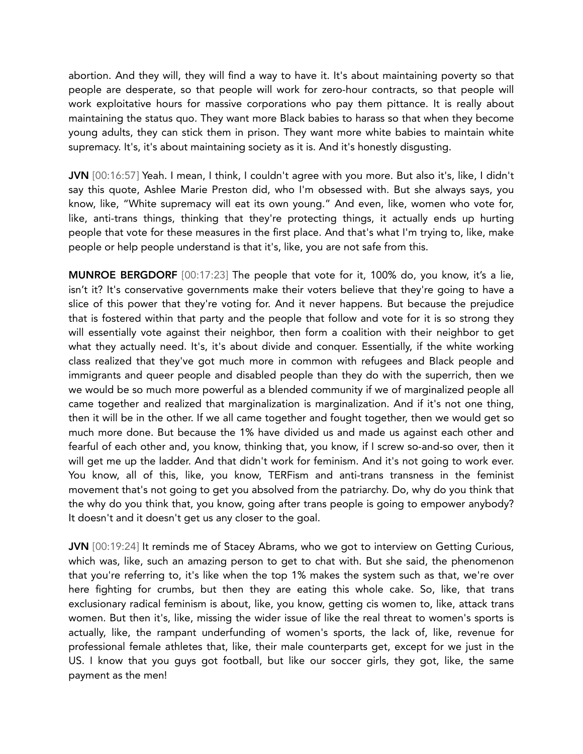abortion. And they will, they will find a way to have it. It's about maintaining poverty so that people are desperate, so that people will work for zero-hour contracts, so that people will work exploitative hours for massive corporations who pay them pittance. It is really about maintaining the status quo. They want more Black babies to harass so that when they become young adults, they can stick them in prison. They want more white babies to maintain white supremacy. It's, it's about maintaining society as it is. And it's honestly disgusting.

JVN [00:16:57] Yeah. I mean, I think, I couldn't agree with you more. But also it's, like, I didn't say this quote, Ashlee Marie Preston did, who I'm obsessed with. But she always says, you know, like, "White supremacy will eat its own young." And even, like, women who vote for, like, anti-trans things, thinking that they're protecting things, it actually ends up hurting people that vote for these measures in the first place. And that's what I'm trying to, like, make people or help people understand is that it's, like, you are not safe from this.

MUNROE BERGDORF [00:17:23] The people that vote for it, 100% do, you know, it's a lie, isn't it? It's conservative governments make their voters believe that they're going to have a slice of this power that they're voting for. And it never happens. But because the prejudice that is fostered within that party and the people that follow and vote for it is so strong they will essentially vote against their neighbor, then form a coalition with their neighbor to get what they actually need. It's, it's about divide and conquer. Essentially, if the white working class realized that they've got much more in common with refugees and Black people and immigrants and queer people and disabled people than they do with the superrich, then we we would be so much more powerful as a blended community if we of marginalized people all came together and realized that marginalization is marginalization. And if it's not one thing, then it will be in the other. If we all came together and fought together, then we would get so much more done. But because the 1% have divided us and made us against each other and fearful of each other and, you know, thinking that, you know, if I screw so-and-so over, then it will get me up the ladder. And that didn't work for feminism. And it's not going to work ever. You know, all of this, like, you know, TERFism and anti-trans transness in the feminist movement that's not going to get you absolved from the patriarchy. Do, why do you think that the why do you think that, you know, going after trans people is going to empower anybody? It doesn't and it doesn't get us any closer to the goal.

JVN [00:19:24] It reminds me of Stacey Abrams, who we got to interview on Getting Curious, which was, like, such an amazing person to get to chat with. But she said, the phenomenon that you're referring to, it's like when the top 1% makes the system such as that, we're over here fighting for crumbs, but then they are eating this whole cake. So, like, that trans exclusionary radical feminism is about, like, you know, getting cis women to, like, attack trans women. But then it's, like, missing the wider issue of like the real threat to women's sports is actually, like, the rampant underfunding of women's sports, the lack of, like, revenue for professional female athletes that, like, their male counterparts get, except for we just in the US. I know that you guys got football, but like our soccer girls, they got, like, the same payment as the men!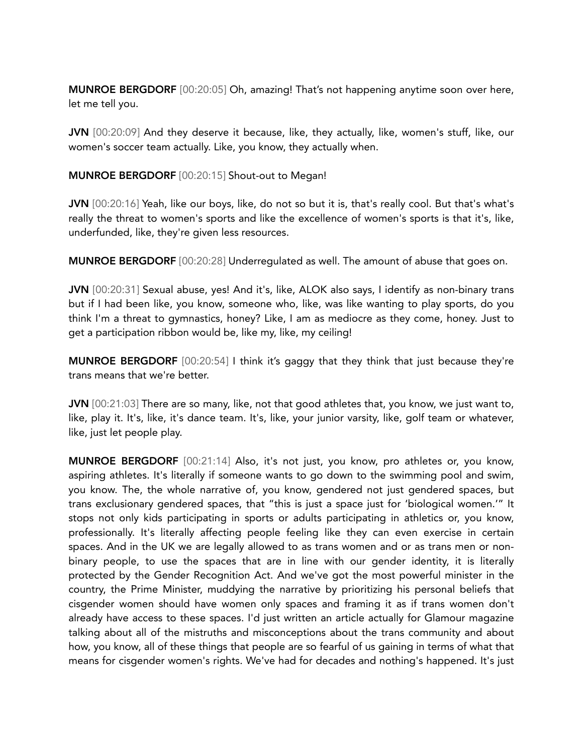MUNROE BERGDORF [00:20:05] Oh, amazing! That's not happening anytime soon over here, let me tell you.

JVN [00:20:09] And they deserve it because, like, they actually, like, women's stuff, like, our women's soccer team actually. Like, you know, they actually when.

#### MUNROE BERGDORF [00:20:15] Shout-out to Megan!

JVN [00:20:16] Yeah, like our boys, like, do not so but it is, that's really cool. But that's what's really the threat to women's sports and like the excellence of women's sports is that it's, like, underfunded, like, they're given less resources.

MUNROE BERGDORF [00:20:28] Underregulated as well. The amount of abuse that goes on.

JVN [00:20:31] Sexual abuse, yes! And it's, like, ALOK also says, I identify as non-binary trans but if I had been like, you know, someone who, like, was like wanting to play sports, do you think I'm a threat to gymnastics, honey? Like, I am as mediocre as they come, honey. Just to get a participation ribbon would be, like my, like, my ceiling!

MUNROE BERGDORF [00:20:54] I think it's gaggy that they think that just because they're trans means that we're better.

JVN [00:21:03] There are so many, like, not that good athletes that, you know, we just want to, like, play it. It's, like, it's dance team. It's, like, your junior varsity, like, golf team or whatever, like, just let people play.

MUNROE BERGDORF [00:21:14] Also, it's not just, you know, pro athletes or, you know, aspiring athletes. It's literally if someone wants to go down to the swimming pool and swim, you know. The, the whole narrative of, you know, gendered not just gendered spaces, but trans exclusionary gendered spaces, that "this is just a space just for 'biological women.'" It stops not only kids participating in sports or adults participating in athletics or, you know, professionally. It's literally affecting people feeling like they can even exercise in certain spaces. And in the UK we are legally allowed to as trans women and or as trans men or nonbinary people, to use the spaces that are in line with our gender identity, it is literally protected by the Gender Recognition Act. And we've got the most powerful minister in the country, the Prime Minister, muddying the narrative by prioritizing his personal beliefs that cisgender women should have women only spaces and framing it as if trans women don't already have access to these spaces. I'd just written an article actually for Glamour magazine talking about all of the mistruths and misconceptions about the trans community and about how, you know, all of these things that people are so fearful of us gaining in terms of what that means for cisgender women's rights. We've had for decades and nothing's happened. It's just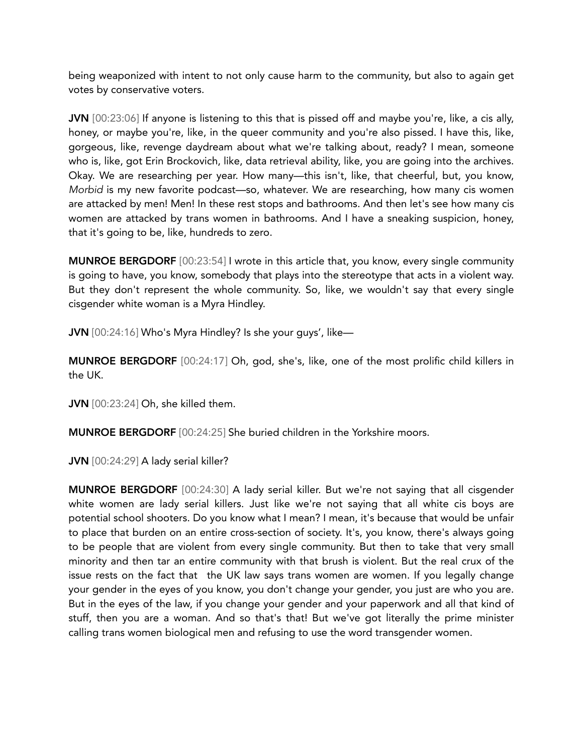being weaponized with intent to not only cause harm to the community, but also to again get votes by conservative voters.

JVN [00:23:06] If anyone is listening to this that is pissed off and maybe you're, like, a cis ally, honey, or maybe you're, like, in the queer community and you're also pissed. I have this, like, gorgeous, like, revenge daydream about what we're talking about, ready? I mean, someone who is, like, got Erin Brockovich, like, data retrieval ability, like, you are going into the archives. Okay. We are researching per year. How many—this isn't, like, that cheerful, but, you know, *Morbid* is my new favorite podcast—so, whatever. We are researching, how many cis women are attacked by men! Men! In these rest stops and bathrooms. And then let's see how many cis women are attacked by trans women in bathrooms. And I have a sneaking suspicion, honey, that it's going to be, like, hundreds to zero.

MUNROE BERGDORF [00:23:54] I wrote in this article that, you know, every single community is going to have, you know, somebody that plays into the stereotype that acts in a violent way. But they don't represent the whole community. So, like, we wouldn't say that every single cisgender white woman is a Myra Hindley.

JVN [00:24:16] Who's Myra Hindley? Is she your guys', like—

MUNROE BERGDORF [00:24:17] Oh, god, she's, like, one of the most prolific child killers in the UK.

JVN [00:23:24] Oh, she killed them.

MUNROE BERGDORF [00:24:25] She buried children in the Yorkshire moors.

JVN [00:24:29] A lady serial killer?

MUNROE BERGDORF [00:24:30] A lady serial killer. But we're not saying that all cisgender white women are lady serial killers. Just like we're not saying that all white cis boys are potential school shooters. Do you know what I mean? I mean, it's because that would be unfair to place that burden on an entire cross-section of society. It's, you know, there's always going to be people that are violent from every single community. But then to take that very small minority and then tar an entire community with that brush is violent. But the real crux of the issue rests on the fact that the UK law says trans women are women. If you legally change your gender in the eyes of you know, you don't change your gender, you just are who you are. But in the eyes of the law, if you change your gender and your paperwork and all that kind of stuff, then you are a woman. And so that's that! But we've got literally the prime minister calling trans women biological men and refusing to use the word transgender women.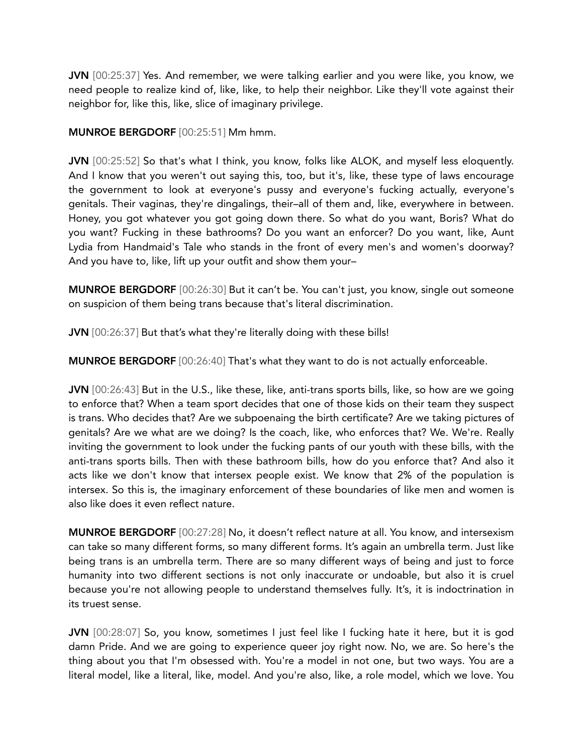JVN [00:25:37] Yes. And remember, we were talking earlier and you were like, you know, we need people to realize kind of, like, like, to help their neighbor. Like they'll vote against their neighbor for, like this, like, slice of imaginary privilege.

#### MUNROE BERGDORF [00:25:51] Mm hmm.

JVN [00:25:52] So that's what I think, you know, folks like ALOK, and myself less eloquently. And I know that you weren't out saying this, too, but it's, like, these type of laws encourage the government to look at everyone's pussy and everyone's fucking actually, everyone's genitals. Their vaginas, they're dingalings, their–all of them and, like, everywhere in between. Honey, you got whatever you got going down there. So what do you want, Boris? What do you want? Fucking in these bathrooms? Do you want an enforcer? Do you want, like, Aunt Lydia from Handmaid's Tale who stands in the front of every men's and women's doorway? And you have to, like, lift up your outfit and show them your–

MUNROE BERGDORF [00:26:30] But it can't be. You can't just, you know, single out someone on suspicion of them being trans because that's literal discrimination.

JVN [00:26:37] But that's what they're literally doing with these bills!

MUNROE BERGDORF [00:26:40] That's what they want to do is not actually enforceable.

JVN [00:26:43] But in the U.S., like these, like, anti-trans sports bills, like, so how are we going to enforce that? When a team sport decides that one of those kids on their team they suspect is trans. Who decides that? Are we subpoenaing the birth certificate? Are we taking pictures of genitals? Are we what are we doing? Is the coach, like, who enforces that? We. We're. Really inviting the government to look under the fucking pants of our youth with these bills, with the anti-trans sports bills. Then with these bathroom bills, how do you enforce that? And also it acts like we don't know that intersex people exist. We know that 2% of the population is intersex. So this is, the imaginary enforcement of these boundaries of like men and women is also like does it even reflect nature.

MUNROE BERGDORF [00:27:28] No, it doesn't reflect nature at all. You know, and intersexism can take so many different forms, so many different forms. It's again an umbrella term. Just like being trans is an umbrella term. There are so many different ways of being and just to force humanity into two different sections is not only inaccurate or undoable, but also it is cruel because you're not allowing people to understand themselves fully. It's, it is indoctrination in its truest sense.

JVN [00:28:07] So, you know, sometimes I just feel like I fucking hate it here, but it is god damn Pride. And we are going to experience queer joy right now. No, we are. So here's the thing about you that I'm obsessed with. You're a model in not one, but two ways. You are a literal model, like a literal, like, model. And you're also, like, a role model, which we love. You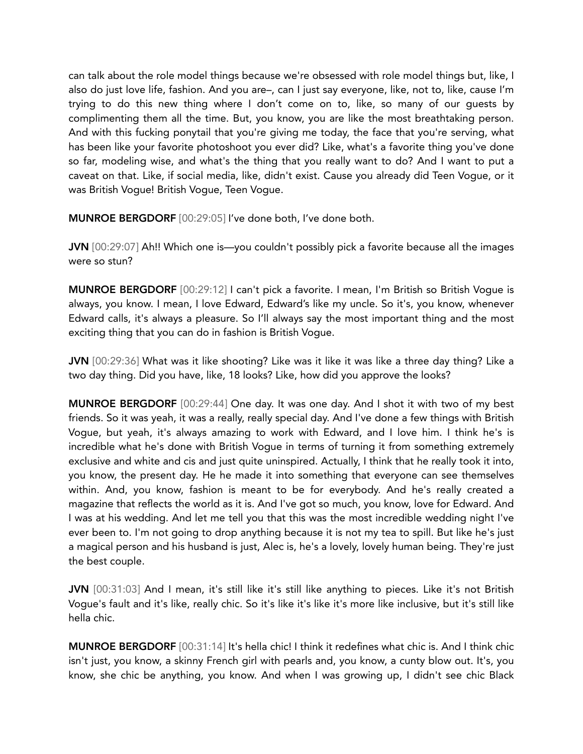can talk about the role model things because we're obsessed with role model things but, like, I also do just love life, fashion. And you are–, can I just say everyone, like, not to, like, cause I'm trying to do this new thing where I don't come on to, like, so many of our guests by complimenting them all the time. But, you know, you are like the most breathtaking person. And with this fucking ponytail that you're giving me today, the face that you're serving, what has been like your favorite photoshoot you ever did? Like, what's a favorite thing you've done so far, modeling wise, and what's the thing that you really want to do? And I want to put a caveat on that. Like, if social media, like, didn't exist. Cause you already did Teen Vogue, or it was British Vogue! British Vogue, Teen Vogue.

MUNROE BERGDORF [00:29:05] I've done both, I've done both.

JVN [00:29:07] Ah!! Which one is—you couldn't possibly pick a favorite because all the images were so stun?

MUNROE BERGDORF [00:29:12] I can't pick a favorite. I mean, I'm British so British Vogue is always, you know. I mean, I love Edward, Edward's like my uncle. So it's, you know, whenever Edward calls, it's always a pleasure. So I'll always say the most important thing and the most exciting thing that you can do in fashion is British Vogue.

JVN [00:29:36] What was it like shooting? Like was it like it was like a three day thing? Like a two day thing. Did you have, like, 18 looks? Like, how did you approve the looks?

MUNROE BERGDORF [00:29:44] One day. It was one day. And I shot it with two of my best friends. So it was yeah, it was a really, really special day. And I've done a few things with British Vogue, but yeah, it's always amazing to work with Edward, and I love him. I think he's is incredible what he's done with British Vogue in terms of turning it from something extremely exclusive and white and cis and just quite uninspired. Actually, I think that he really took it into, you know, the present day. He he made it into something that everyone can see themselves within. And, you know, fashion is meant to be for everybody. And he's really created a magazine that reflects the world as it is. And I've got so much, you know, love for Edward. And I was at his wedding. And let me tell you that this was the most incredible wedding night I've ever been to. I'm not going to drop anything because it is not my tea to spill. But like he's just a magical person and his husband is just, Alec is, he's a lovely, lovely human being. They're just the best couple.

JVN [00:31:03] And I mean, it's still like it's still like anything to pieces. Like it's not British Vogue's fault and it's like, really chic. So it's like it's like it's more like inclusive, but it's still like hella chic.

MUNROE BERGDORF [00:31:14] It's hella chic! I think it redefines what chic is. And I think chic isn't just, you know, a skinny French girl with pearls and, you know, a cunty blow out. It's, you know, she chic be anything, you know. And when I was growing up, I didn't see chic Black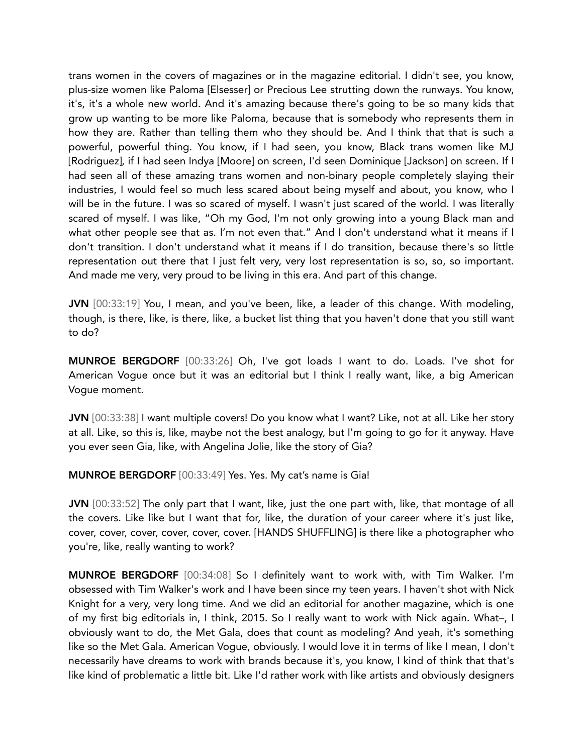trans women in the covers of magazines or in the magazine editorial. I didn't see, you know, plus-size women like Paloma [Elsesser] or Precious Lee strutting down the runways. You know, it's, it's a whole new world. And it's amazing because there's going to be so many kids that grow up wanting to be more like Paloma, because that is somebody who represents them in how they are. Rather than telling them who they should be. And I think that that is such a powerful, powerful thing. You know, if I had seen, you know, Black trans women like MJ [Rodriguez], if I had seen Indya [Moore] on screen, I'd seen Dominique [Jackson] on screen. If I had seen all of these amazing trans women and non-binary people completely slaying their industries, I would feel so much less scared about being myself and about, you know, who I will be in the future. I was so scared of myself. I wasn't just scared of the world. I was literally scared of myself. I was like, "Oh my God, I'm not only growing into a young Black man and what other people see that as. I'm not even that." And I don't understand what it means if I don't transition. I don't understand what it means if I do transition, because there's so little representation out there that I just felt very, very lost representation is so, so, so important. And made me very, very proud to be living in this era. And part of this change.

JVN [00:33:19] You, I mean, and you've been, like, a leader of this change. With modeling, though, is there, like, is there, like, a bucket list thing that you haven't done that you still want to do?

MUNROE BERGDORF [00:33:26] Oh, I've got loads I want to do. Loads. I've shot for American Vogue once but it was an editorial but I think I really want, like, a big American Vogue moment.

JVN [00:33:38] I want multiple covers! Do you know what I want? Like, not at all. Like her story at all. Like, so this is, like, maybe not the best analogy, but I'm going to go for it anyway. Have you ever seen Gia, like, with Angelina Jolie, like the story of Gia?

MUNROE BERGDORF [00:33:49] Yes. Yes. My cat's name is Gia!

JVN [00:33:52] The only part that I want, like, just the one part with, like, that montage of all the covers. Like like but I want that for, like, the duration of your career where it's just like, cover, cover, cover, cover, cover, cover. [HANDS SHUFFLING] is there like a photographer who you're, like, really wanting to work?

MUNROE BERGDORF [00:34:08] So I definitely want to work with, with Tim Walker. I'm obsessed with Tim Walker's work and I have been since my teen years. I haven't shot with Nick Knight for a very, very long time. And we did an editorial for another magazine, which is one of my first big editorials in, I think, 2015. So I really want to work with Nick again. What–, I obviously want to do, the Met Gala, does that count as modeling? And yeah, it's something like so the Met Gala. American Vogue, obviously. I would love it in terms of like I mean, I don't necessarily have dreams to work with brands because it's, you know, I kind of think that that's like kind of problematic a little bit. Like I'd rather work with like artists and obviously designers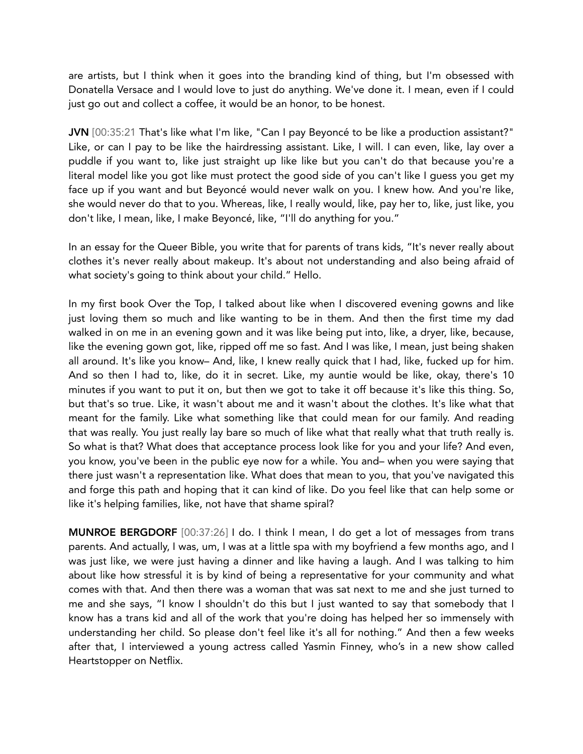are artists, but I think when it goes into the branding kind of thing, but I'm obsessed with Donatella Versace and I would love to just do anything. We've done it. I mean, even if I could just go out and collect a coffee, it would be an honor, to be honest.

JVN [00:35:21 That's like what I'm like, "Can I pay Beyoncé to be like a production assistant?" Like, or can I pay to be like the hairdressing assistant. Like, I will. I can even, like, lay over a puddle if you want to, like just straight up like like but you can't do that because you're a literal model like you got like must protect the good side of you can't like I guess you get my face up if you want and but Beyoncé would never walk on you. I knew how. And you're like, she would never do that to you. Whereas, like, I really would, like, pay her to, like, just like, you don't like, I mean, like, I make Beyoncé, like, "I'll do anything for you."

In an essay for the Queer Bible, you write that for parents of trans kids, "It's never really about clothes it's never really about makeup. It's about not understanding and also being afraid of what society's going to think about your child." Hello.

In my first book Over the Top, I talked about like when I discovered evening gowns and like just loving them so much and like wanting to be in them. And then the first time my dad walked in on me in an evening gown and it was like being put into, like, a dryer, like, because, like the evening gown got, like, ripped off me so fast. And I was like, I mean, just being shaken all around. It's like you know– And, like, I knew really quick that I had, like, fucked up for him. And so then I had to, like, do it in secret. Like, my auntie would be like, okay, there's 10 minutes if you want to put it on, but then we got to take it off because it's like this thing. So, but that's so true. Like, it wasn't about me and it wasn't about the clothes. It's like what that meant for the family. Like what something like that could mean for our family. And reading that was really. You just really lay bare so much of like what that really what that truth really is. So what is that? What does that acceptance process look like for you and your life? And even, you know, you've been in the public eye now for a while. You and– when you were saying that there just wasn't a representation like. What does that mean to you, that you've navigated this and forge this path and hoping that it can kind of like. Do you feel like that can help some or like it's helping families, like, not have that shame spiral?

MUNROE BERGDORF [00:37:26] I do. I think I mean, I do get a lot of messages from trans parents. And actually, I was, um, I was at a little spa with my boyfriend a few months ago, and I was just like, we were just having a dinner and like having a laugh. And I was talking to him about like how stressful it is by kind of being a representative for your community and what comes with that. And then there was a woman that was sat next to me and she just turned to me and she says, "I know I shouldn't do this but I just wanted to say that somebody that I know has a trans kid and all of the work that you're doing has helped her so immensely with understanding her child. So please don't feel like it's all for nothing." And then a few weeks after that, I interviewed a young actress called Yasmin Finney, who's in a new show called Heartstopper on Netflix.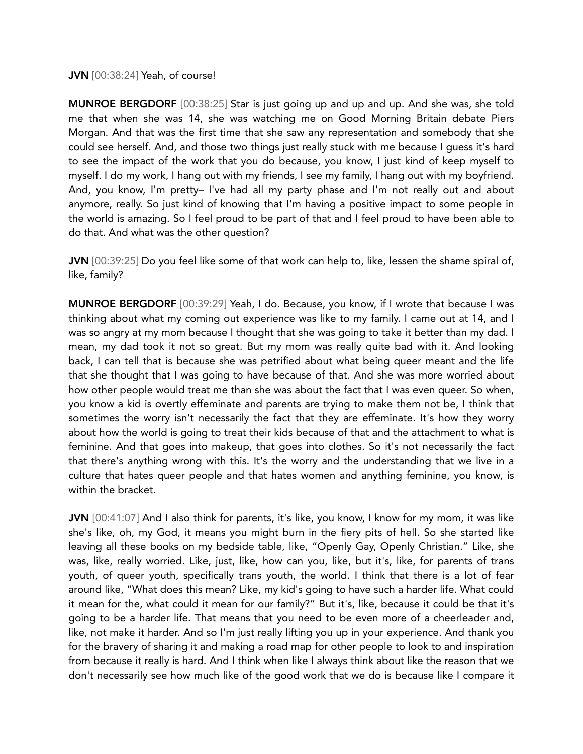#### JVN [00:38:24] Yeah, of course!

MUNROE BERGDORF [00:38:25] Star is just going up and up and up. And she was, she told me that when she was 14, she was watching me on Good Morning Britain debate Piers Morgan. And that was the first time that she saw any representation and somebody that she could see herself. And, and those two things just really stuck with me because I guess it's hard to see the impact of the work that you do because, you know, I just kind of keep myself to myself. I do my work, I hang out with my friends, I see my family, I hang out with my boyfriend. And, you know, I'm pretty– I've had all my party phase and I'm not really out and about anymore, really. So just kind of knowing that I'm having a positive impact to some people in the world is amazing. So I feel proud to be part of that and I feel proud to have been able to do that. And what was the other question?

JVN [00:39:25] Do you feel like some of that work can help to, like, lessen the shame spiral of, like, family?

MUNROE BERGDORF [00:39:29] Yeah, I do. Because, you know, if I wrote that because I was thinking about what my coming out experience was like to my family. I came out at 14, and I was so angry at my mom because I thought that she was going to take it better than my dad. I mean, my dad took it not so great. But my mom was really quite bad with it. And looking back, I can tell that is because she was petrified about what being queer meant and the life that she thought that I was going to have because of that. And she was more worried about how other people would treat me than she was about the fact that I was even queer. So when, you know a kid is overtly effeminate and parents are trying to make them not be, I think that sometimes the worry isn't necessarily the fact that they are effeminate. It's how they worry about how the world is going to treat their kids because of that and the attachment to what is feminine. And that goes into makeup, that goes into clothes. So it's not necessarily the fact that there's anything wrong with this. It's the worry and the understanding that we live in a culture that hates queer people and that hates women and anything feminine, you know, is within the bracket.

JVN [00:41:07] And I also think for parents, it's like, you know, I know for my mom, it was like she's like, oh, my God, it means you might burn in the fiery pits of hell. So she started like leaving all these books on my bedside table, like, "Openly Gay, Openly Christian." Like, she was, like, really worried. Like, just, like, how can you, like, but it's, like, for parents of trans youth, of queer youth, specifically trans youth, the world. I think that there is a lot of fear around like, "What does this mean? Like, my kid's going to have such a harder life. What could it mean for the, what could it mean for our family?" But it's, like, because it could be that it's going to be a harder life. That means that you need to be even more of a cheerleader and, like, not make it harder. And so I'm just really lifting you up in your experience. And thank you for the bravery of sharing it and making a road map for other people to look to and inspiration from because it really is hard. And I think when like I always think about like the reason that we don't necessarily see how much like of the good work that we do is because like I compare it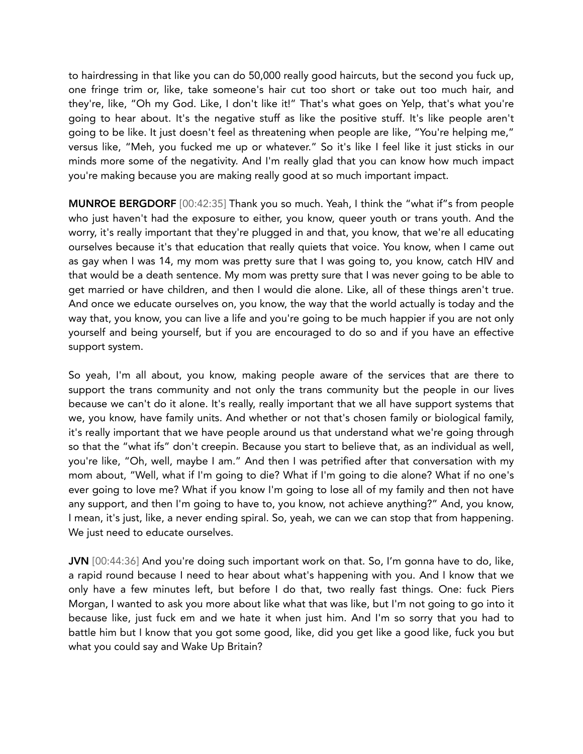to hairdressing in that like you can do 50,000 really good haircuts, but the second you fuck up, one fringe trim or, like, take someone's hair cut too short or take out too much hair, and they're, like, "Oh my God. Like, I don't like it!" That's what goes on Yelp, that's what you're going to hear about. It's the negative stuff as like the positive stuff. It's like people aren't going to be like. It just doesn't feel as threatening when people are like, "You're helping me," versus like, "Meh, you fucked me up or whatever." So it's like I feel like it just sticks in our minds more some of the negativity. And I'm really glad that you can know how much impact you're making because you are making really good at so much important impact.

MUNROE BERGDORF [00:42:35] Thank you so much. Yeah, I think the "what if"s from people who just haven't had the exposure to either, you know, queer youth or trans youth. And the worry, it's really important that they're plugged in and that, you know, that we're all educating ourselves because it's that education that really quiets that voice. You know, when I came out as gay when I was 14, my mom was pretty sure that I was going to, you know, catch HIV and that would be a death sentence. My mom was pretty sure that I was never going to be able to get married or have children, and then I would die alone. Like, all of these things aren't true. And once we educate ourselves on, you know, the way that the world actually is today and the way that, you know, you can live a life and you're going to be much happier if you are not only yourself and being yourself, but if you are encouraged to do so and if you have an effective support system.

So yeah, I'm all about, you know, making people aware of the services that are there to support the trans community and not only the trans community but the people in our lives because we can't do it alone. It's really, really important that we all have support systems that we, you know, have family units. And whether or not that's chosen family or biological family, it's really important that we have people around us that understand what we're going through so that the "what ifs" don't creepin. Because you start to believe that, as an individual as well, you're like, "Oh, well, maybe I am." And then I was petrified after that conversation with my mom about, "Well, what if I'm going to die? What if I'm going to die alone? What if no one's ever going to love me? What if you know I'm going to lose all of my family and then not have any support, and then I'm going to have to, you know, not achieve anything?" And, you know, I mean, it's just, like, a never ending spiral. So, yeah, we can we can stop that from happening. We just need to educate ourselves.

JVN [00:44:36] And you're doing such important work on that. So, I'm gonna have to do, like, a rapid round because I need to hear about what's happening with you. And I know that we only have a few minutes left, but before I do that, two really fast things. One: fuck Piers Morgan, I wanted to ask you more about like what that was like, but I'm not going to go into it because like, just fuck em and we hate it when just him. And I'm so sorry that you had to battle him but I know that you got some good, like, did you get like a good like, fuck you but what you could say and Wake Up Britain?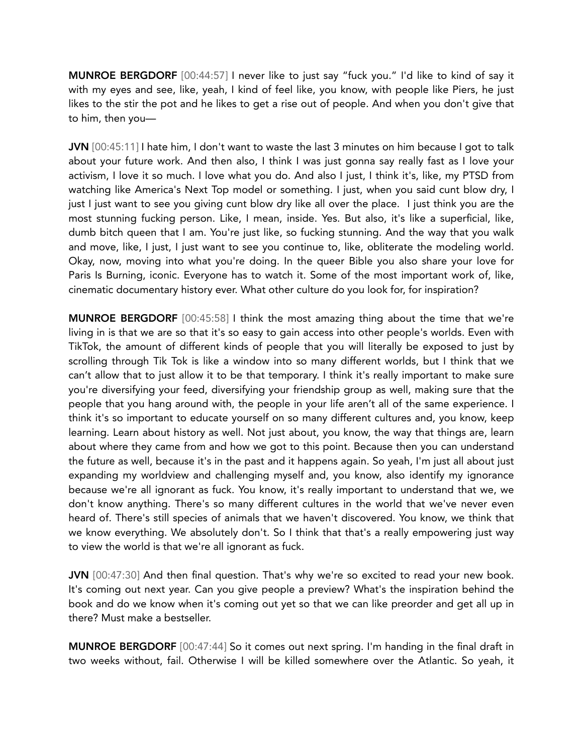MUNROE BERGDORF [00:44:57] I never like to just say "fuck you." I'd like to kind of say it with my eyes and see, like, yeah, I kind of feel like, you know, with people like Piers, he just likes to the stir the pot and he likes to get a rise out of people. And when you don't give that to him, then you—

JVN [00:45:11] I hate him, I don't want to waste the last 3 minutes on him because I got to talk about your future work. And then also, I think I was just gonna say really fast as I love your activism, I love it so much. I love what you do. And also I just, I think it's, like, my PTSD from watching like America's Next Top model or something. I just, when you said cunt blow dry, I just I just want to see you giving cunt blow dry like all over the place. I just think you are the most stunning fucking person. Like, I mean, inside. Yes. But also, it's like a superficial, like, dumb bitch queen that I am. You're just like, so fucking stunning. And the way that you walk and move, like, I just, I just want to see you continue to, like, obliterate the modeling world. Okay, now, moving into what you're doing. In the queer Bible you also share your love for Paris Is Burning, iconic. Everyone has to watch it. Some of the most important work of, like, cinematic documentary history ever. What other culture do you look for, for inspiration?

MUNROE BERGDORF [00:45:58] I think the most amazing thing about the time that we're living in is that we are so that it's so easy to gain access into other people's worlds. Even with TikTok, the amount of different kinds of people that you will literally be exposed to just by scrolling through Tik Tok is like a window into so many different worlds, but I think that we can't allow that to just allow it to be that temporary. I think it's really important to make sure you're diversifying your feed, diversifying your friendship group as well, making sure that the people that you hang around with, the people in your life aren't all of the same experience. I think it's so important to educate yourself on so many different cultures and, you know, keep learning. Learn about history as well. Not just about, you know, the way that things are, learn about where they came from and how we got to this point. Because then you can understand the future as well, because it's in the past and it happens again. So yeah, I'm just all about just expanding my worldview and challenging myself and, you know, also identify my ignorance because we're all ignorant as fuck. You know, it's really important to understand that we, we don't know anything. There's so many different cultures in the world that we've never even heard of. There's still species of animals that we haven't discovered. You know, we think that we know everything. We absolutely don't. So I think that that's a really empowering just way to view the world is that we're all ignorant as fuck.

JVN [00:47:30] And then final question. That's why we're so excited to read your new book. It's coming out next year. Can you give people a preview? What's the inspiration behind the book and do we know when it's coming out yet so that we can like preorder and get all up in there? Must make a bestseller.

MUNROE BERGDORF [00:47:44] So it comes out next spring. I'm handing in the final draft in two weeks without, fail. Otherwise I will be killed somewhere over the Atlantic. So yeah, it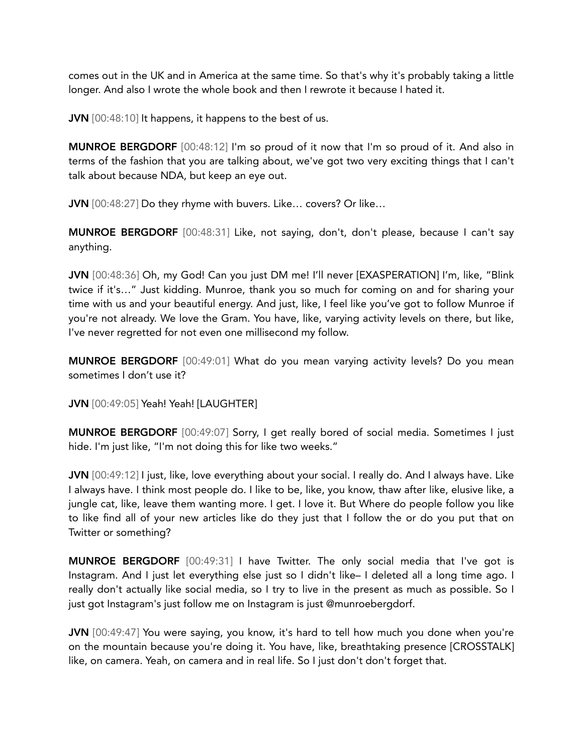comes out in the UK and in America at the same time. So that's why it's probably taking a little longer. And also I wrote the whole book and then I rewrote it because I hated it.

JVN [00:48:10] It happens, it happens to the best of us.

MUNROE BERGDORF [00:48:12] I'm so proud of it now that I'm so proud of it. And also in terms of the fashion that you are talking about, we've got two very exciting things that I can't talk about because NDA, but keep an eye out.

JVN [00:48:27] Do they rhyme with buvers. Like... covers? Or like...

MUNROE BERGDORF [00:48:31] Like, not saying, don't, don't please, because I can't say anything.

JVN [00:48:36] Oh, my God! Can you just DM me! I'll never [EXASPERATION] I'm, like, "Blink twice if it's…" Just kidding. Munroe, thank you so much for coming on and for sharing your time with us and your beautiful energy. And just, like, I feel like you've got to follow Munroe if you're not already. We love the Gram. You have, like, varying activity levels on there, but like, I've never regretted for not even one millisecond my follow.

MUNROE BERGDORF [00:49:01] What do you mean varying activity levels? Do you mean sometimes I don't use it?

JVN [00:49:05] Yeah! Yeah! [LAUGHTER]

MUNROE BERGDORF [00:49:07] Sorry, I get really bored of social media. Sometimes I just hide. I'm just like, "I'm not doing this for like two weeks."

JVN [00:49:12] I just, like, love everything about your social. I really do. And I always have. Like I always have. I think most people do. I like to be, like, you know, thaw after like, elusive like, a jungle cat, like, leave them wanting more. I get. I love it. But Where do people follow you like to like find all of your new articles like do they just that I follow the or do you put that on Twitter or something?

MUNROE BERGDORF [00:49:31] I have Twitter. The only social media that I've got is Instagram. And I just let everything else just so I didn't like– I deleted all a long time ago. I really don't actually like social media, so I try to live in the present as much as possible. So I just got Instagram's just follow me on Instagram is just @munroebergdorf.

JVN [00:49:47] You were saying, you know, it's hard to tell how much you done when you're on the mountain because you're doing it. You have, like, breathtaking presence [CROSSTALK] like, on camera. Yeah, on camera and in real life. So I just don't don't forget that.